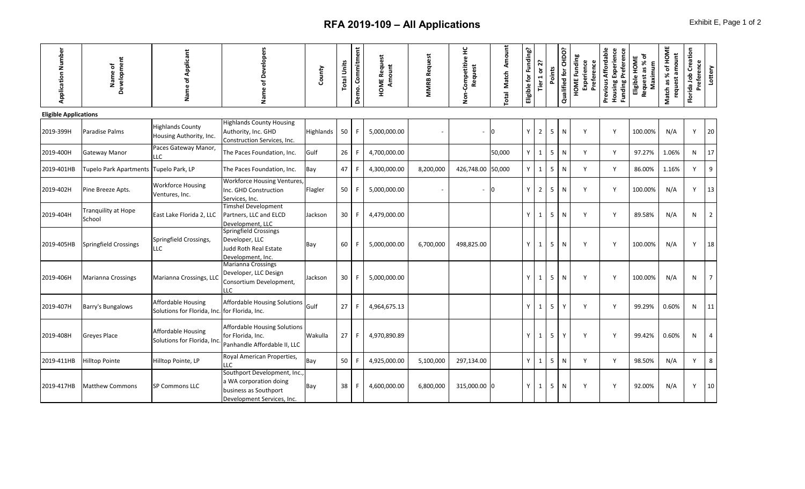## **RFA 2019-109 - All Applications Exhibit E**, Page 1 of 2

| <b>Application Number</b>    | Development<br>Name of                 | Applicant<br>৳<br>Name                                                     | <b>Developers</b><br>৳<br>Name                                                                               | County    | <b>Total Units</b> | Demo. Commitment | <b>HOME Request</b><br>Amount | <b>MMRB Request</b> | 呈<br>Competitive<br>Request<br>Non- | Amount<br><b>Match</b><br>Total | Eligible for Funding? | Tier 1 or 2?   | Points          | Qualified for CHDO? | <b>HOME Funding</b><br>Experience<br>Preference | Previous Affordable<br>Housing Experience<br>Funding Preference | ō<br>Eligible HOME<br>Request as %<br>Maximum | % of HOME<br>request amount<br>Match as | Florida Job Creation<br>Preference | Lottery        |
|------------------------------|----------------------------------------|----------------------------------------------------------------------------|--------------------------------------------------------------------------------------------------------------|-----------|--------------------|------------------|-------------------------------|---------------------|-------------------------------------|---------------------------------|-----------------------|----------------|-----------------|---------------------|-------------------------------------------------|-----------------------------------------------------------------|-----------------------------------------------|-----------------------------------------|------------------------------------|----------------|
| <b>Eligible Applications</b> |                                        |                                                                            |                                                                                                              |           |                    |                  |                               |                     |                                     |                                 |                       |                |                 |                     |                                                 |                                                                 |                                               |                                         |                                    |                |
| 2019-399H                    | Paradise Palms                         | <b>Highlands County</b><br>Housing Authority, Inc.                         | <b>Highlands County Housing</b><br>Authority, Inc. GHD<br>Construction Services, Inc.                        | Highlands | 50                 |                  | 5,000,000.00                  |                     |                                     | I0                              | Y                     | $\overline{2}$ | 5               | N                   | Y                                               | Y                                                               | 100.00%                                       | N/A                                     | Y                                  | 20             |
| 2019-400H                    | <b>Gateway Manor</b>                   | Paces Gateway Manor,<br><b>LC</b>                                          | The Paces Foundation, Inc.                                                                                   | Gulf      | 26                 |                  | 4,700,000.00                  |                     |                                     | 50,000                          | Y                     | $\mathbf{1}$   | 5 <sup>5</sup>  | N                   | Y                                               | Y                                                               | 97.27%                                        | 1.06%                                   | N                                  | 17             |
| 2019-401HB                   | Tupelo Park Apartments Tupelo Park, LP |                                                                            | The Paces Foundation, Inc.                                                                                   | Bay       | 47                 |                  | 4,300,000.00                  | 8,200,000           | 426,748.00 50,000                   |                                 | Y.                    | $\mathbf{1}$   | 5               | N                   | Y                                               | Y                                                               | 86.00%                                        | 1.16%                                   | $\mathsf{v}$                       | 9              |
| 2019-402H                    | Pine Breeze Apts.                      | <b>Workforce Housing</b><br>Ventures, Inc.                                 | <b>Workforce Housing Ventures,</b><br>Inc. GHD Construction<br>Services, Inc.                                | Flagler   | 50                 |                  | 5,000,000.00                  |                     |                                     | 0                               | Y                     | $\overline{2}$ | $5\phantom{.0}$ | N                   | Y                                               | Y                                                               | 100.00%                                       | N/A                                     | Y                                  | 13             |
| 2019-404H                    | <b>Tranquility at Hope</b><br>School   | East Lake Florida 2, LLC                                                   | <b>Timshel Development</b><br>Partners, LLC and ELCD<br>Development, LLC                                     | Jackson   | 30                 |                  | 4,479,000.00                  |                     |                                     |                                 | <b>Y</b>              | $\mathbf{1}$   | 5 <sub>1</sub>  | N                   | Y                                               | Y                                                               | 89.58%                                        | N/A                                     | N                                  | $\overline{2}$ |
| 2019-405HB                   | Springfield Crossings                  | Springfield Crossings,<br>LLC                                              | Springfield Crossings<br>Developer, LLC<br>Judd Roth Real Estate<br>Development, Inc.                        | Bay       | 60                 |                  | 5,000,000.00                  | 6,700,000           | 498,825.00                          |                                 | Y                     | $\mathbf{1}$   | 5               | N                   | Y                                               | Y                                                               | 100.00%                                       | N/A                                     | Y                                  | 18             |
| 2019-406H                    | <b>Marianna Crossings</b>              | Marianna Crossings, LLC                                                    | <b>Marianna Crossings</b><br>Developer, LLC Design<br>Consortium Development,<br>LLC                         | Jackson   | 30                 |                  | 5,000,000.00                  |                     |                                     |                                 | Y                     | $\mathbf{1}$   | 5               | N                   | Y                                               | Y                                                               | 100.00%                                       | N/A                                     | N                                  | $\overline{7}$ |
| 2019-407H                    | Barry's Bungalows                      | <b>Affordable Housing</b><br>Solutions for Florida, Inc. for Florida, Inc. | <b>Affordable Housing Solutions</b>                                                                          | Gulf      | 27                 |                  | 4,964,675.13                  |                     |                                     |                                 | Y                     | $\mathbf{1}$   | 5               |                     | Y                                               | Y                                                               | 99.29%                                        | 0.60%                                   | N                                  | 11             |
| 2019-408H                    | Greyes Place                           | Affordable Housing<br>Solutions for Florida, Inc.                          | <b>Affordable Housing Solutions</b><br>for Florida, Inc.<br>Panhandle Affordable II, LLC                     | Wakulla   | 27                 | F                | 4,970,890.89                  |                     |                                     |                                 | Y                     | $\mathbf{1}$   | 5               | Y                   | Y                                               | Y                                                               | 99.42%                                        | 0.60%                                   | N                                  | $\overline{4}$ |
| 2019-411HB                   | <b>Hilltop Pointe</b>                  | Hilltop Pointe, LP                                                         | Royal American Properties,<br><b>LLC</b>                                                                     | Bay       | 50                 |                  | 4,925,000.00                  | 5,100,000           | 297,134.00                          |                                 | Y                     | $\mathbf{1}$   | 5               | N                   | Y                                               | Y                                                               | 98.50%                                        | N/A                                     | Y                                  | 8              |
| 2019-417HB                   | <b>Matthew Commons</b>                 | <b>SP Commons LLC</b>                                                      | Southport Development, Inc.<br>a WA corporation doing<br>business as Southport<br>Development Services, Inc. | Bay       | 38                 |                  | 4.600.000.00                  | 6,800,000           | 315,000.00 0                        |                                 | Y                     | $\mathbf{1}$   | $5\overline{)}$ | N                   | Y                                               | Y                                                               | 92.00%                                        | N/A                                     | Y                                  | 10             |